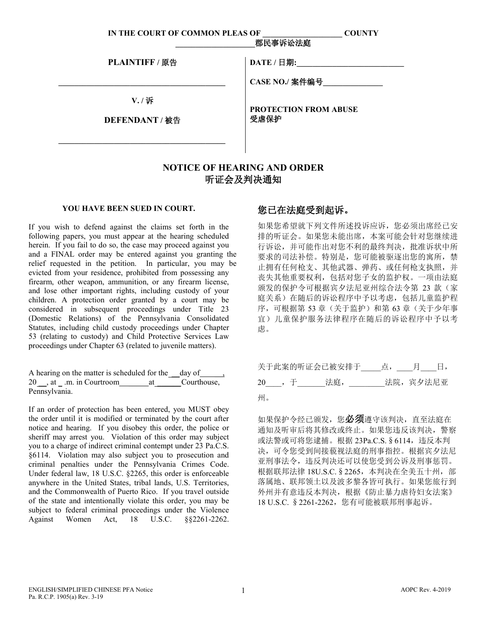**IN THE COURT OF COMMON PLEAS OF \_\_\_\_\_\_\_\_\_\_\_\_\_\_\_\_\_\_\_\_ COUNTY**

| PLAINTIFF / 原告         | DATE / 日期:                           |
|------------------------|--------------------------------------|
|                        | CASE NO./ 案件编号                       |
| V./诉<br>DEFENDANT / 被告 | <b>PROTECTION FROM ABUSE</b><br>受虐保护 |
|                        |                                      |

## **NOTICE OF HEARING AND ORDER**  听证会及判决通知

## **YOU HAVE BEEN SUED IN COURT.**

If you wish to defend against the claims set forth in the following papers, you must appear at the hearing scheduled herein. If you fail to do so, the case may proceed against you and a FINAL order may be entered against you granting the relief requested in the petition. In particular, you may be evicted from your residence, prohibited from possessing any firearm, other weapon, ammunition, or any firearm license, and lose other important rights, including custody of your children. A protection order granted by a court may be considered in subsequent proceedings under Title 23 (Domestic Relations) of the Pennsylvania Consolidated Statutes, including child custody proceedings under Chapter 53 (relating to custody) and Child Protective Services Law proceedings under Chapter 63 (related to juvenile matters).

|               | 20, at .m. in Courtroom at Courthouse, |  |  |
|---------------|----------------------------------------|--|--|
| Pennsylvania. |                                        |  |  |

If an order of protection has been entered, you MUST obey the order until it is modified or terminated by the court after notice and hearing. If you disobey this order, the police or sheriff may arrest you. Violation of this order may subject you to a charge of indirect criminal contempt under 23 Pa.C.S. §6114. Violation may also subject you to prosecution and criminal penalties under the Pennsylvania Crimes Code. Under federal law, 18 U.S.C. §2265, this order is enforceable anywhere in the United States, tribal lands, U.S. Territories, and the Commonwealth of Puerto Rico. If you travel outside of the state and intentionally violate this order, you may be subject to federal criminal proceedings under the Violence Against Women Act, 18 U.S.C. §§2261-2262.

## 您已在法庭受到起诉。

**\_\_\_\_\_\_\_\_\_\_\_\_\_\_\_\_\_\_\_\_**郡民事诉讼法庭

如果您希望就下列文件所述投诉应诉,您必须出席经已安 排的听证会。如果您未能出席,本案可能会针对您继续进 行诉讼,并可能作出对您不利的最终判决,批准诉状中所 要求的司法补偿。特别是,您可能被驱逐出您的寓所,禁 止拥有任何枪支、其他武器、弹药、或任何枪支执照,并 丧失其他重要权利,包括对您子女的监护权。一项由法庭 颁发的保护令可根据宾夕法尼亚州综合法令第 23 款(家 庭关系)在随后的诉讼程序中予以考虑,包括儿童监护程 序,可根据第 53 章(关于监护)和第 63 章(关于少年事 宜)儿童保护服务法律程序在随后的诉讼程序中予以考 虑。

|    |                | 关于此案的听证会已被安排于 点, 月 日, |           |
|----|----------------|-----------------------|-----------|
|    | 20 , 于     法庭, |                       | 法院, 宾夕法尼亚 |
| 州。 |                |                       |           |

如果保护令经已颁发,您必须遵守该判决,直至法庭在 通知及听审后将其修改或终止。如果您违反该判决,警察 或法警或可将您逮捕。根据 23Pa.C.S.§6114,违反本判 决,可令您受到间接藐视法庭的刑事指控。根据宾夕法尼 亚刑事法令,违反判决还可以使您受到公诉及刑事惩罚。 根据联邦法律 18U.S.C. § 2265, 本判决在全美五十州, 部 落属地、联邦领土以及波多黎各皆可执行。如果您旅行到 外州并有意违反本判决,根据《防止暴力虐待妇女法案》 18 U.S.C. § 2261-2262, 您有可能被联邦刑事起诉。